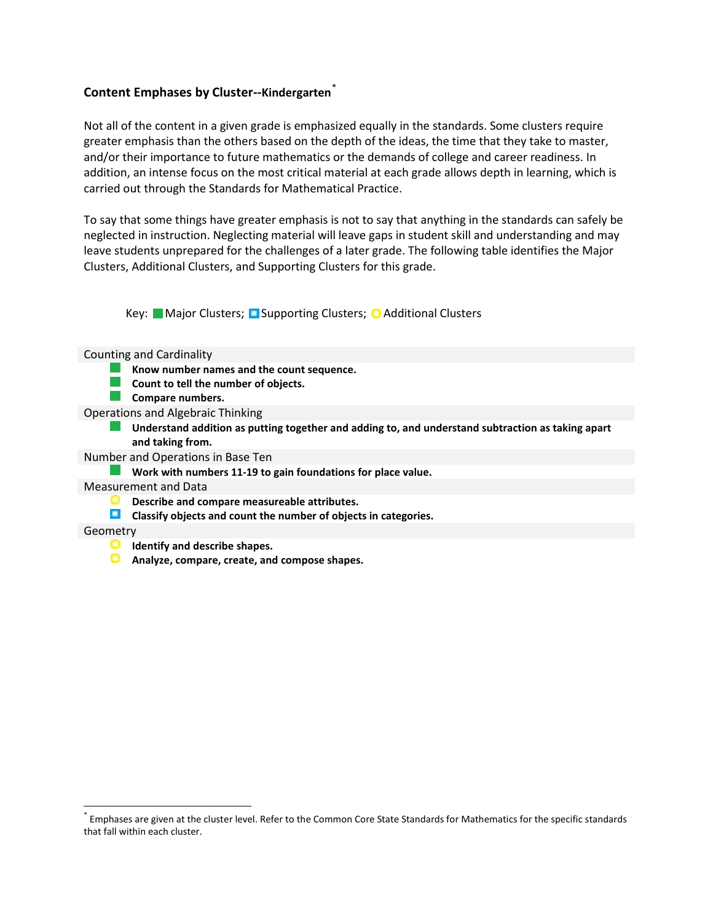### **Content Emphases by Cluster--Kindergarten**[\\*](#page-0-0)

Not all of the content in a given grade is emphasized equally in the standards. Some clusters require greater emphasis than the others based on the depth of the ideas, the time that they take to master, and/or their importance to future mathematics or the demands of college and career readiness. In addition, an intense focus on the most critical material at each grade allows depth in learning, which is carried out through the Standards for Mathematical Practice.

To say that some things have greater emphasis is not to say that anything in the standards can safely be neglected in instruction. Neglecting material will leave gaps in student skill and understanding and may leave students unprepared for the challenges of a later grade. The following table identifies the Major Clusters, Additional Clusters, and Supporting Clusters for this grade.

Key: Major Clusters; D Supporting Clusters; O Additional Clusters

Counting and Cardinality

- **Know number names and the count sequence.**
- **Count to tell the number of objects.**
- **Compare numbers.**

Operations and Algebraic Thinking

**Understand addition as putting together and adding to, and understand subtraction as taking apart and taking from.**

- Number and Operations in Base Ten
	- **Work with numbers 11-19 to gain foundations for place value.**

Measurement and Data

- **Describe and compare measureable attributes.**
- **Classify objects and count the number of objects in categories.**

### **Geometry**

l

- **Identify and describe shapes.**
- **Analyze, compare, create, and compose shapes.**

<span id="page-0-0"></span>Emphases are given at the cluster level. Refer to the Common Core State Standards for Mathematics for the specific standards that fall within each cluster.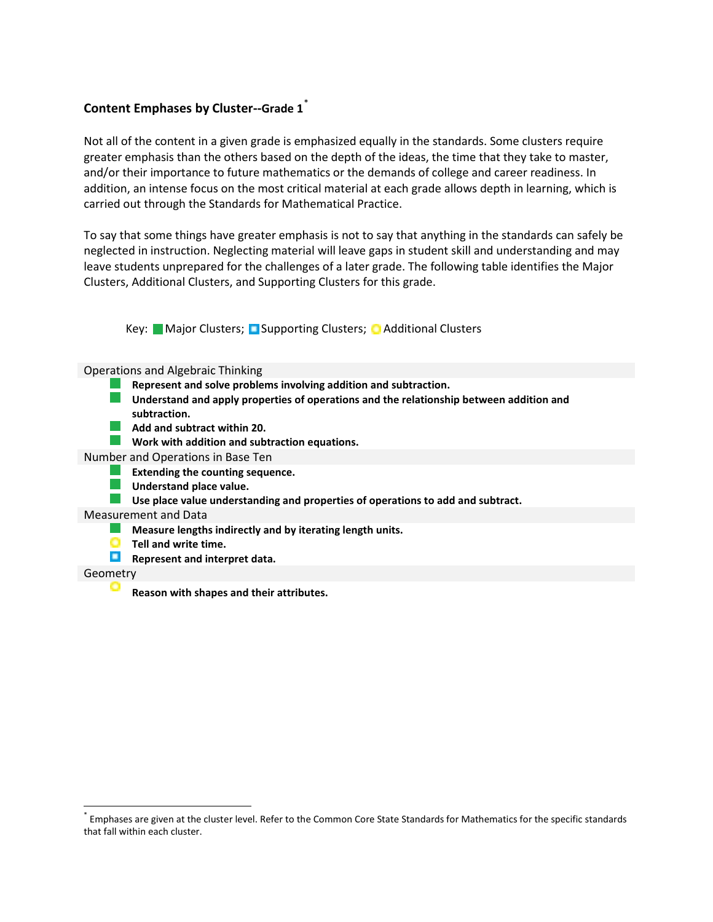# **Content Emphases by Cluster--Grade 1**[\\*](#page-1-0)

l

Not all of the content in a given grade is emphasized equally in the standards. Some clusters require greater emphasis than the others based on the depth of the ideas, the time that they take to master, and/or their importance to future mathematics or the demands of college and career readiness. In addition, an intense focus on the most critical material at each grade allows depth in learning, which is carried out through the Standards for Mathematical Practice.

To say that some things have greater emphasis is not to say that anything in the standards can safely be neglected in instruction. Neglecting material will leave gaps in student skill and understanding and may leave students unprepared for the challenges of a later grade. The following table identifies the Major Clusters, Additional Clusters, and Supporting Clusters for this grade.

Key: Major Clusters; D Supporting Clusters; O Additional Clusters

| <b>Operations and Algebraic Thinking</b>                                                                |
|---------------------------------------------------------------------------------------------------------|
| Represent and solve problems involving addition and subtraction.                                        |
| Understand and apply properties of operations and the relationship between addition and<br>subtraction. |
| Add and subtract within 20.                                                                             |
| Work with addition and subtraction equations.                                                           |
| Number and Operations in Base Ten                                                                       |
| Extending the counting sequence.                                                                        |
| Understand place value.                                                                                 |
| Use place value understanding and properties of operations to add and subtract.                         |
| Measurement and Data                                                                                    |
| Measure lengths indirectly and by iterating length units.                                               |
| Tell and write time.                                                                                    |
| Represent and interpret data.                                                                           |
| Geometry                                                                                                |
| Reason with shapes and their attributes.                                                                |

<span id="page-1-0"></span>Emphases are given at the cluster level. Refer to the Common Core State Standards for Mathematics for the specific standards that fall within each cluster.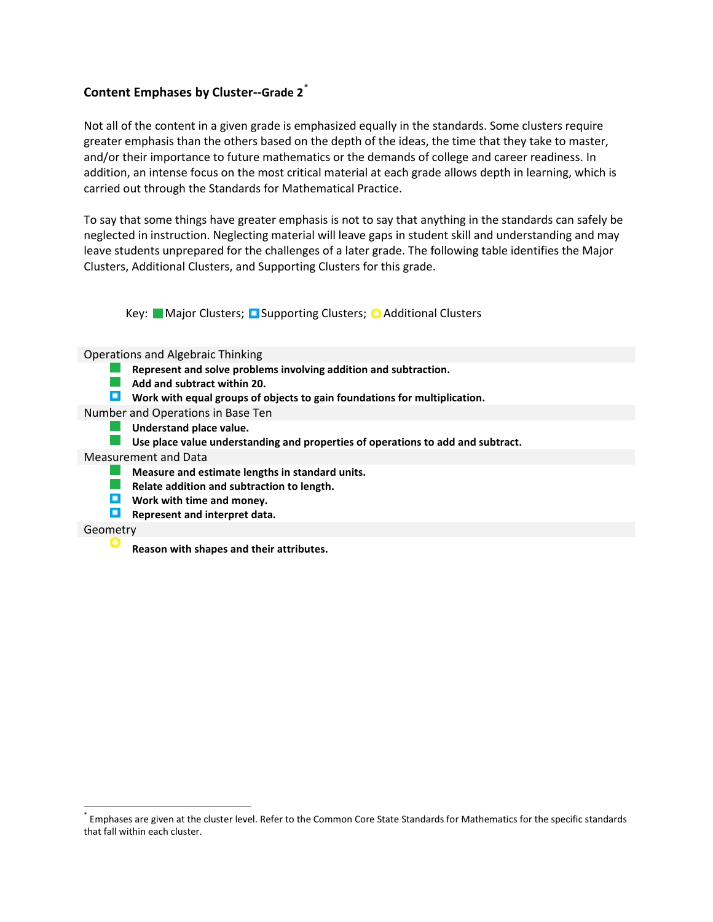# **Content Emphases by Cluster--Grade 2**[\\*](#page-2-0)

Not all of the content in a given grade is emphasized equally in the standards. Some clusters require greater emphasis than the others based on the depth of the ideas, the time that they take to master, and/or their importance to future mathematics or the demands of college and career readiness. In addition, an intense focus on the most critical material at each grade allows depth in learning, which is carried out through the Standards for Mathematical Practice.

To say that some things have greater emphasis is not to say that anything in the standards can safely be neglected in instruction. Neglecting material will leave gaps in student skill and understanding and may leave students unprepared for the challenges of a later grade. The following table identifies the Major Clusters, Additional Clusters, and Supporting Clusters for this grade.

Key: Major Clusters; D Supporting Clusters; O Additional Clusters

Operations and Algebraic Thinking

- **Represent and solve problems involving addition and subtraction.**  $\mathcal{A}^{\mathcal{A}}$
- **Add and subtract within 20.**
- **Work with equal groups of objects to gain foundations for multiplication.**

Number and Operations in Base Ten

**Understand place value.**

**Use place value understanding and properties of operations to add and subtract.** 

Measurement and Data

- a ka **Measure and estimate lengths in standard units.**
- $\mathcal{L}^{\text{eff}}$ **Relate addition and subtraction to length.**
- **Work with time and money.**
- **Represent and interpret data.**

### Geometry

l

**Reason with shapes and their attributes..**

<span id="page-2-0"></span>Emphases are given at the cluster level. Refer to the Common Core State Standards for Mathematics for the specific standards that fall within each cluster.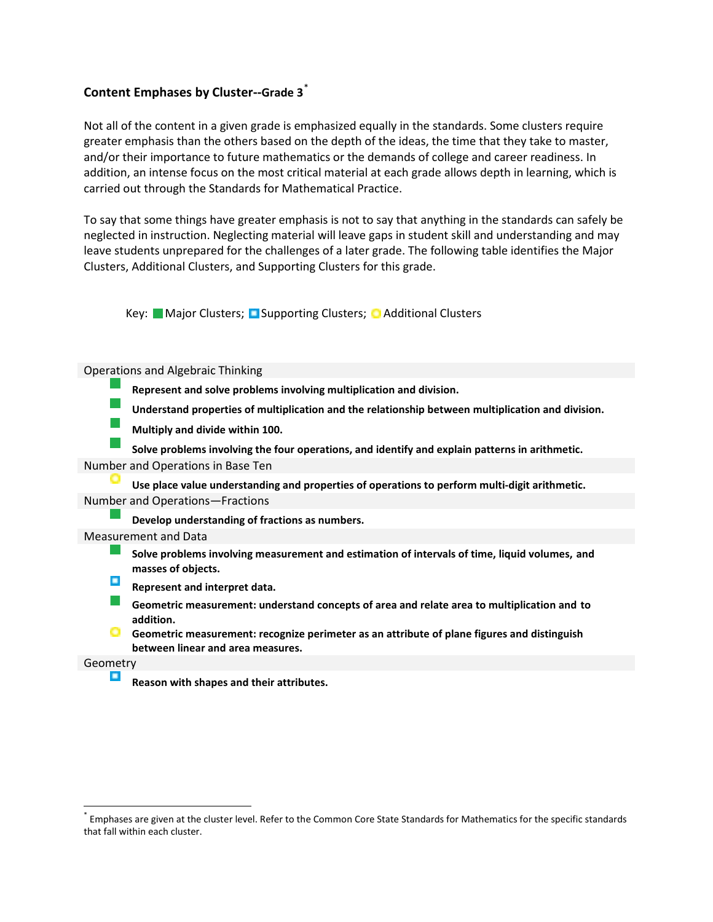# **Content Emphases by Cluster--Grade 3**[\\*](#page-3-0)

l

Not all of the content in a given grade is emphasized equally in the standards. Some clusters require greater emphasis than the others based on the depth of the ideas, the time that they take to master, and/or their importance to future mathematics or the demands of college and career readiness. In addition, an intense focus on the most critical material at each grade allows depth in learning, which is carried out through the Standards for Mathematical Practice.

To say that some things have greater emphasis is not to say that anything in the standards can safely be neglected in instruction. Neglecting material will leave gaps in student skill and understanding and may leave students unprepared for the challenges of a later grade. The following table identifies the Major Clusters, Additional Clusters, and Supporting Clusters for this grade.

Key: Major Clusters; D Supporting Clusters; O Additional Clusters



<span id="page-3-0"></span>Emphases are given at the cluster level. Refer to the Common Core State Standards for Mathematics for the specific standards that fall within each cluster.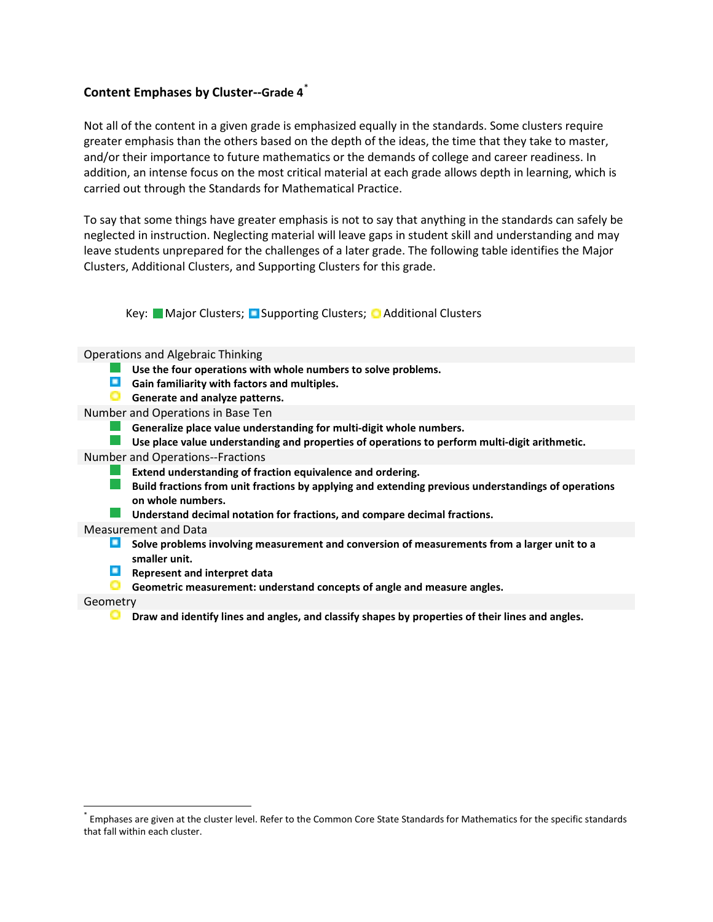## **Content Emphases by Cluster--Grade 4**[\\*](#page-4-0)

Not all of the content in a given grade is emphasized equally in the standards. Some clusters require greater emphasis than the others based on the depth of the ideas, the time that they take to master, and/or their importance to future mathematics or the demands of college and career readiness. In addition, an intense focus on the most critical material at each grade allows depth in learning, which is carried out through the Standards for Mathematical Practice.

To say that some things have greater emphasis is not to say that anything in the standards can safely be neglected in instruction. Neglecting material will leave gaps in student skill and understanding and may leave students unprepared for the challenges of a later grade. The following table identifies the Major Clusters, Additional Clusters, and Supporting Clusters for this grade.

Key: Major Clusters; D Supporting Clusters; O Additional Clusters

Operations and Algebraic Thinking

- **Use the four operations with whole numbers to solve problems.**
- **Gain familiarity with factors and multiples.**
- **G** Generate and analyze patterns.
- Number and Operations in Base Ten
	- **Generalize place value understanding for multi-digit whole numbers.**
	- **Use place value understanding and properties of operations to perform multi-digit arithmetic.**
- Number and Operations--Fractions
	- $\mathcal{L}_{\rm{max}}$ **Extend understanding of fraction equivalence and ordering.**
	- $\mathcal{L}^{\text{max}}_{\text{max}}$ **Build fractions from unit fractions by applying and extending previous understandings of operations on whole numbers.**
	- a sa n **Understand decimal notation for fractions, and compare decimal fractions.**

#### Measurement and Data

- **Solve problems involving measurement and conversion of measurements from a larger unit to a smaller unit.**
- **Represent and interpret data**
- **Geometric measurement: understand concepts of angle and measure angles.**

#### Geometry

l

**Draw and identify lines and angles, and classify shapes by properties of their lines and angles.**

<span id="page-4-0"></span>Emphases are given at the cluster level. Refer to the Common Core State Standards for Mathematics for the specific standards that fall within each cluster.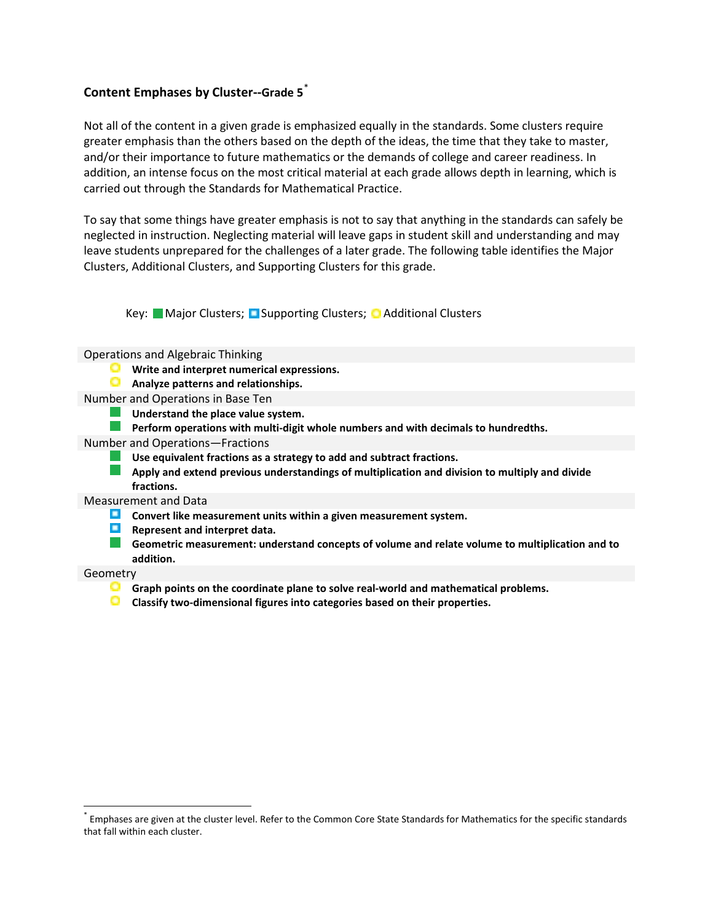# **Content Emphases by Cluster--Grade 5**[\\*](#page-5-0)

Not all of the content in a given grade is emphasized equally in the standards. Some clusters require greater emphasis than the others based on the depth of the ideas, the time that they take to master, and/or their importance to future mathematics or the demands of college and career readiness. In addition, an intense focus on the most critical material at each grade allows depth in learning, which is carried out through the Standards for Mathematical Practice.

To say that some things have greater emphasis is not to say that anything in the standards can safely be neglected in instruction. Neglecting material will leave gaps in student skill and understanding and may leave students unprepared for the challenges of a later grade. The following table identifies the Major Clusters, Additional Clusters, and Supporting Clusters for this grade.

Key: Major Clusters; D Supporting Clusters; O Additional Clusters

Operations and Algebraic Thinking

- **Write and interpret numerical expressions.**
- o **Analyze patterns and relationships.**
- Number and Operations in Base Ten
	- H. **Understand the place value system.**
	- **Contract Perform operations with multi-digit whole numbers and with decimals to hundredths.**
- Number and Operations—Fractions
	- **Use equivalent fractions as a strategy to add and subtract fractions.**
	- **Apply and extend previous understandings of multiplication and division to multiply and divide fractions.**

#### Measurement and Data

- **Convert like measurement units within a given measurement system.**
- $\blacksquare$ **Represent and interpret data.**
	- **Geometric measurement: understand concepts of volume and relate volume to multiplication and to addition.**

#### Geometry

l

- **Graph points on the coordinate plane to solve real-world and mathematical problems.**
- o **Classify two-dimensional figures into categories based on their properties.**

<span id="page-5-0"></span>Emphases are given at the cluster level. Refer to the Common Core State Standards for Mathematics for the specific standards that fall within each cluster.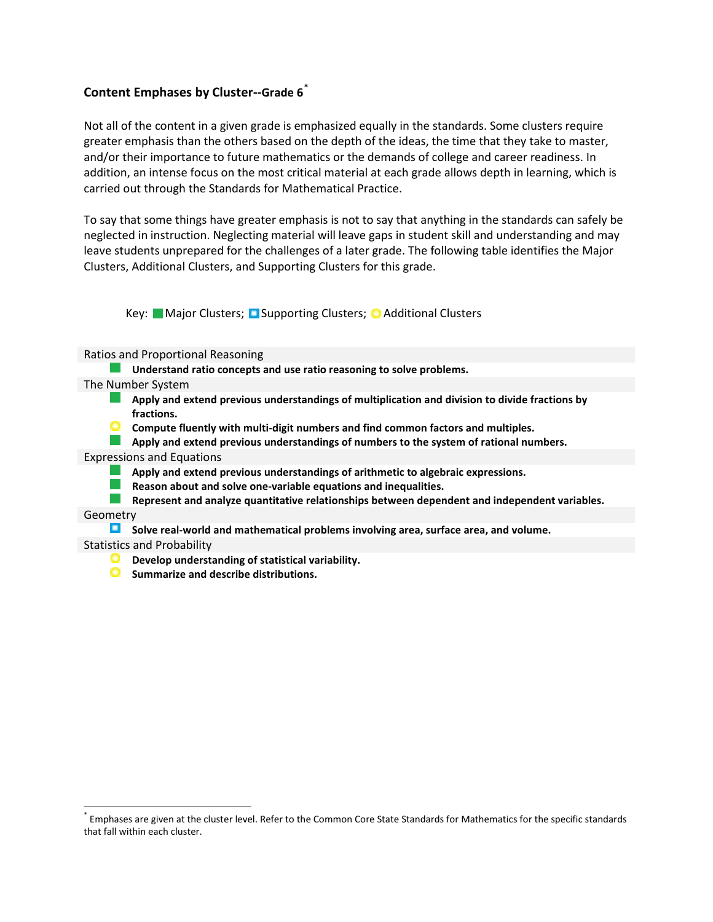# **Content Emphases by Cluster--Grade 6**[\\*](#page-6-0)

Not all of the content in a given grade is emphasized equally in the standards. Some clusters require greater emphasis than the others based on the depth of the ideas, the time that they take to master, and/or their importance to future mathematics or the demands of college and career readiness. In addition, an intense focus on the most critical material at each grade allows depth in learning, which is carried out through the Standards for Mathematical Practice.

To say that some things have greater emphasis is not to say that anything in the standards can safely be neglected in instruction. Neglecting material will leave gaps in student skill and understanding and may leave students unprepared for the challenges of a later grade. The following table identifies the Major Clusters, Additional Clusters, and Supporting Clusters for this grade.

Key: Major Clusters; D Supporting Clusters; O Additional Clusters

Ratios and Proportional Reasoning

- **Understand ratio concepts and use ratio reasoning to solve problems.**
- The Number System
	- **Apply and extend previous understandings of multiplication and division to divide fractions by fractions.**
	- **Compute fluently with multi-digit numbers and find common factors and multiples.**
	- **Apply and extend previous understandings of numbers to the system of rational numbers.**

#### Expressions and Equations

- **Apply and extend previous understandings of arithmetic to algebraic expressions.**
- **Reason about and solve one-variable equations and inequalities.**
- **Represent and analyze quantitative relationships between dependent and independent variables.**

Geometry

l

**Solve real-world and mathematical problems involving area, surface area, and volume.**

#### Statistics and Probability

- **Develop understanding of statistical variability.**
- $\circ$ **Summarize and describe distributions.**

<span id="page-6-0"></span>Emphases are given at the cluster level. Refer to the Common Core State Standards for Mathematics for the specific standards that fall within each cluster.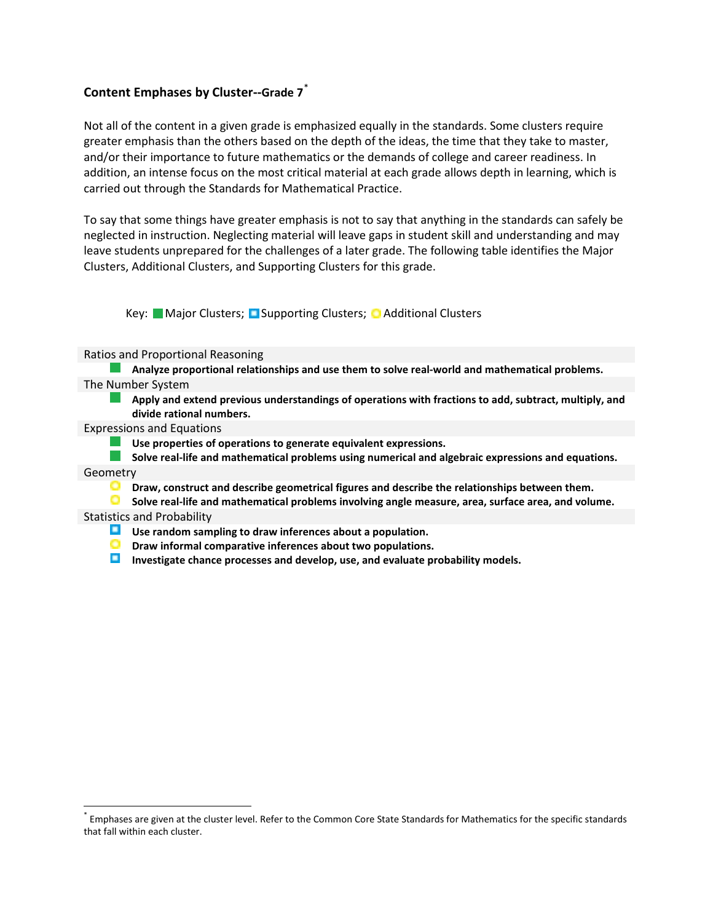## **Content Emphases by Cluster--Grade 7**[\\*](#page-7-0)

Not all of the content in a given grade is emphasized equally in the standards. Some clusters require greater emphasis than the others based on the depth of the ideas, the time that they take to master, and/or their importance to future mathematics or the demands of college and career readiness. In addition, an intense focus on the most critical material at each grade allows depth in learning, which is carried out through the Standards for Mathematical Practice.

To say that some things have greater emphasis is not to say that anything in the standards can safely be neglected in instruction. Neglecting material will leave gaps in student skill and understanding and may leave students unprepared for the challenges of a later grade. The following table identifies the Major Clusters, Additional Clusters, and Supporting Clusters for this grade.

Key: Major Clusters; D Supporting Clusters; O Additional Clusters

Ratios and Proportional Reasoning

**Analyze proportional relationships and use them to solve real-world and mathematical problems.** The Number System

**Apply and extend previous understandings of operations with fractions to add, subtract, multiply, and divide rational numbers.**

Expressions and Equations

**Use properties of operations to generate equivalent expressions.**

**Solve real-life and mathematical problems using numerical and algebraic expressions and equations.**

**Geometry** 

l

**Draw, construct and describe geometrical figures and describe the relationships between them.**

**Solve real-life and mathematical problems involving angle measure, area, surface area, and volume.** Statistics and Probability

- **Use random sampling to draw inferences about a population.**
- **Draw informal comparative inferences about two populations.**
- **Investigate chance processes and develop, use, and evaluate probability models.**

<span id="page-7-0"></span>Emphases are given at the cluster level. Refer to the Common Core State Standards for Mathematics for the specific standards that fall within each cluster.